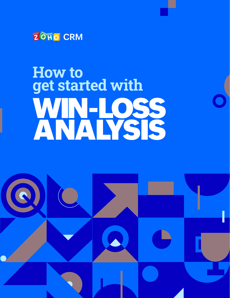

## **How to** get started with WIN-LOSS ANALYSIS

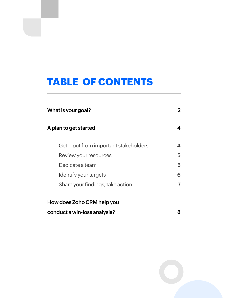### **TABLE OF CONTENTS**

| What is your goal?                    | 2 |
|---------------------------------------|---|
| A plan to get started                 | 4 |
| Get input from important stakeholders | 4 |
| Review your resources                 | 5 |
| Dedicate a team                       | 5 |
| Identify your targets                 | 6 |
| Share your findings, take action      |   |
| How does Zoho CRM help you            |   |
| conduct a win-loss analysis?          | 8 |

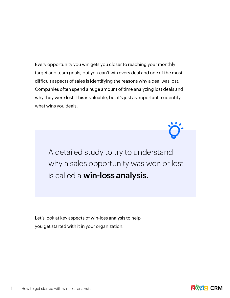Every opportunity you win gets you closer to reaching your monthly target and team goals, but you can't win every deal and one of the most difficult aspects of sales is identifying the reasons why a deal was lost. Companies often spend a huge amount of time analyzing lost deals and why they were lost. This is valuable, but it's just as important to identify what wins you deals.

A detailed study to try to understand why a sales opportunity was won or lost is called a **win-loss analysis.**

Let's look at key aspects of win-loss analysis to help you get started with it in your organization.

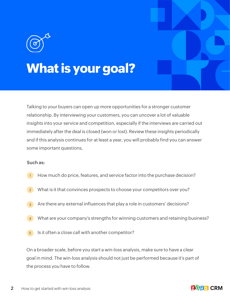# **What is your goal?**

Talking to your buyers can open up more opportunities for a stronger customer relationship. By interviewing your customers, you can uncover a lot of valuable insights into your service and competition, especially if the interviews are carried out immediately after the deal is closed (won or lost). Review these insights periodically and if this analysis continues for at least a year, you will probably find you can answer some important questions,

#### **Such as:**

- How much do price, features, and service factor into the purchase decision? 1
- What is it that convinces prospects to choose your competitors over you? 2
- Are there any external influences that play a role in customers' decisions? 3
- What are your company's strengths for winning customers and retaining business? 4
- Is it often a close call with another competitor? 5

On a broader scale, before you start a win-loss analysis, make sure to have a clear goal in mind. The win-loss analysis should not just be performed because it's part of the process you have to follow.

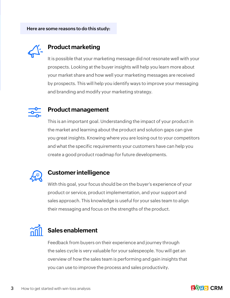

#### **Product marketing**

It is possible that your marketing message did not resonate well with your prospects. Looking at the buyer insights will help you learn more about your market share and how well your marketing messages are received by prospects. This will help you identify ways to improve your messaging and branding and modify your marketing strategy.



#### **Product management**

This is an important goal. Understanding the impact of your product in the market and learning about the product and solution gaps can give you great insights. Knowing where you are losing out to your competitors and what the specific requirements your customers have can help you create a good product roadmap for future developments.



#### **Customer intelligence**

With this goal, your focus should be on the buyer's experience of your product or service, product implementation, and your support and sales approach. This knowledge is useful for your sales team to align their messaging and focus on the strengths of the product.



#### **Sales enablement**

Feedback from buyers on their experience and journey through the sales cycle is very valuable for your salespeople. You will get an overview of how the sales team is performing and gain insights that you can use to improve the process and sales productivity.

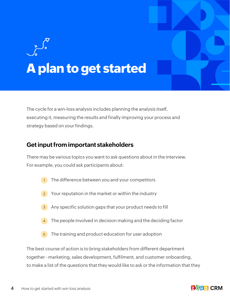# <span id="page-5-0"></span>**A plan to get started**

The cycle for a win-loss analysis includes planning the analysis itself, executing it, measuring the results and finally improving your process and strategy based on your findings.

#### **Get input from important stakeholders**

There may be various topics you want to ask questions about in the interview. For example, you could ask participants about:

- The difference between you and your competitors  $\sqrt{1}$
- Your reputation in the market or within the industry 2
- 3 Any specific solution gaps that your product needs to fill
- The people involved in decision making and the deciding factor 4
- 5 The training and product education for user adoption

The best course of action is to bring stakeholders from different department together - marketing, sales development, fulfilment, and customer onboarding, to make a list of the questions that they would like to ask or the information that they

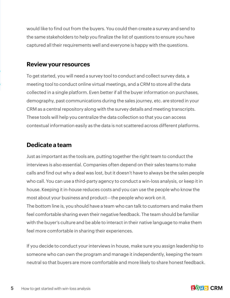<span id="page-6-0"></span>would like to find out from the buyers. You could then create a survey and send to the same stakeholders to help you finalize the list of questions to ensure you have captured all their requirements well and everyone is happy with the questions.

#### **Review your resources**

To get started, you will need a survey tool to conduct and collect survey data, a meeting tool to conduct online virtual meetings, and a CRM to store all the data collected in a single platform. Even better if all the buyer information on purchases, demography, past communications during the sales journey, etc. are stored in your CRM as a central repository along with the survey details and meeting transcripts. These tools will help you centralize the data collection so that you can access contextual information easily as the data is not scattered across different platforms.

#### **Dedicate a team**

Just as important as the tools are, putting together the right team to conduct the interviews is also essential. Companies often depend on their sales teams to make calls and find out why a deal was lost, but it doesn't have to always be the sales people who call. You can use a third-party agency to conduct a win-loss analysis, or keep it in house. Keeping it in-house reduces costs and you can use the people who know the most about your business and product—the people who work on it. The bottom line is, you should have a team who can talk to customers and make them feel comfortable sharing even their negative feedback. The team should be familiar with the buyer's culture and be able to interact in their native language to make them feel more comfortable in sharing their experiences.

If you decide to conduct your interviews in house, make sure you assign leadership to someone who can own the program and manage it independently, keeping the team neutral so that buyers are more comfortable and more likely to share honest feedback.

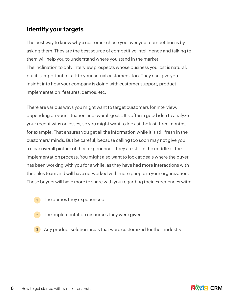#### <span id="page-7-0"></span>**Identify your targets**

The best way to know why a customer chose you over your competition is by asking them. They are the best source of competitive intelligence and talking to them will help you to understand where you stand in the market. The inclination to only interview prospects whose business you lost is natural, but it is important to talk to your actual customers, too. They can give you insight into how your company is doing with customer support, product implementation, features, demos, etc.

There are various ways you might want to target customers for interview, depending on your situation and overall goals. It's often a good idea to analyze your recent wins or losses, so you might want to look at the last three months, for example. That ensures you get all the information while it is still fresh in the customers' minds. But be careful, because calling too soon may not give you a clear overall picture of their experience if they are still in the middle of the implementation process. You might also want to look at deals where the buyer has been working with you for a while, as they have had more interactions with the sales team and will have networked with more people in your organization. These buyers will have more to share with you regarding their experiences with:

- 1 The demos they experienced
- 2 The implementation resources they were given
- 3 Any product solution areas that were customized for their industry

**ZOHO CRM**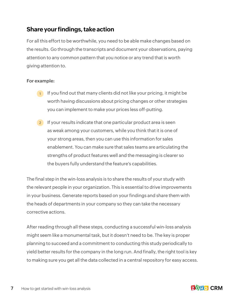#### <span id="page-8-0"></span>**Share your findings, take action**

For all this effort to be worthwhile, you need to be able make changes based on the results. Go through the transcripts and document your observations, paying attention to any common pattern that you notice or any trend that is worth giving attention to.

#### **For example:**

- $1$  If you find out that many clients did not like your pricing, it might be worth having discussions about pricing changes or other strategies you can implement to make your prices less off-putting.
- $2$  If your results indicate that one particular product area is seen as weak among your customers, while you think that it is one of your strong areas, then you can use this information for sales enablement. You can make sure that sales teams are articulating the strengths of product features well and the messaging is clearer so the buyers fully understand the feature's capabilities.

The final step in the win-loss analysis is to share the results of your study with the relevant people in your organization. This is essential to drive improvements in your business. Generate reports based on your findings and share them with the heads of departments in your company so they can take the necessary corrective actions.

After reading through all these steps, conducting a successful win-loss analysis might seem like a monumental task, but it doesn't need to be. The key is proper planning to succeed and a commitment to conducting this study periodically to yield better results for the company in the long run. And finally, the right tool is key to making sure you get all the data collected in a central repository for easy access.

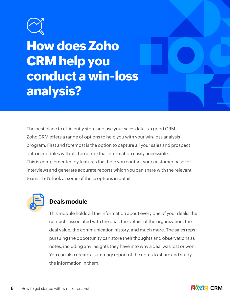<span id="page-9-0"></span>

## **How does Zoho CRM help you conduct a win-loss analysis?**

The best place to efficiently store and use your sales data is a good CRM. Zoho CRM offers a range of options to help you with your win-loss analysis program. First and foremost is the option to capture all your sales and prospect data in modules with all the contextual information easily accessible. This is complemented by features that help you contact your customer base for interviews and generate accurate reports which you can share with the relevant teams. Let's look at some of these options in detail.



#### **Deals module**

This module holds all the information about every one of your deals: the contacts associated with the deal, the details of the organization, the deal value, the communication history, and much more. The sales reps pursuing the opportunity can store their thoughts and observations as notes, including any insights they have into why a deal was lost or won. You can also create a summary report of the notes to share and study the information in them.

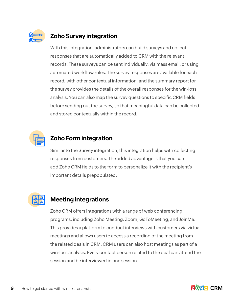

#### **Zoho Survey integration**

With this integration, administrators can build surveys and collect responses that are automatically added to CRM with the relevant records. These surveys can be sent individually, via mass email, or using automated workflow rules. The survey responses are available for each record, with other contextual information, and the summary report for the survey provides the details of the overall responses for the win-loss analysis. You can also map the survey questions to specific CRM fields before sending out the survey, so that meaningful data can be collected and stored contextually within the record.



#### **Zoho Form integration**

Similar to the Survey integration, this integration helps with collecting responses from customers. The added advantage is that you can add Zoho CRM fields to the form to personalize it with the recipient's important details prepopulated.



#### **Meeting integrations**

Zoho CRM offers integrations with a range of web conferencing programs, including Zoho Meeting, Zoom, GoToMeeting, and JoinMe. This provides a platform to conduct interviews with customers via virtual meetings and allows users to access a recording of the meeting from the related deals in CRM. CRM users can also host meetings as part of a win-loss analysis. Every contact person related to the deal can attend the session and be interviewed in one session.

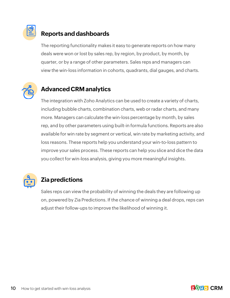

#### **Reports and dashboards**

The reporting functionality makes it easy to generate reports on how many deals were won or lost by sales rep, by region, by product, by month, by quarter, or by a range of other parameters. Sales reps and managers can view the win-loss information in cohorts, quadrants, dial gauges, and charts.



#### **Advanced CRM analytics**

The integration with Zoho Analytics can be used to create a variety of charts, including bubble charts, combination charts, web or radar charts, and many more. Managers can calculate the win-loss percentage by month, by sales rep, and by other parameters using built-in formula functions. Reports are also available for win rate by segment or vertical, win rate by marketing activity, and loss reasons. These reports help you understand your win-to-loss pattern to improve your sales process. These reports can help you slice and dice the data you collect for win-loss analysis, giving you more meaningful insights.



#### **Zia predictions**

Sales reps can view the probability of winning the deals they are following up on, powered by Zia Predictions. If the chance of winning a deal drops, reps can adjust their follow-ups to improve the likelihood of winning it.